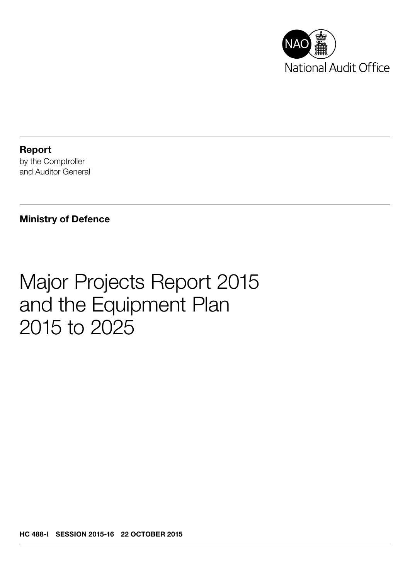

Report by the Comptroller and Auditor General

#### Ministry of Defence

## Major Projects Report 2015 and the Equipment Plan 2015 to 2025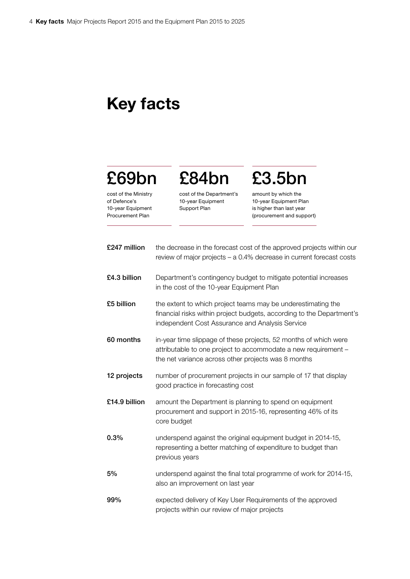### Key facts

## £69bn

cost of the Ministry of Defence's 10-year Equipment Procurement Plan

cost of the Department's 10-year Equipment Support Plan

£84bn

# £3.5bn

amount by which the 10-year Equipment Plan is higher than last year (procurement and support)

| £247 million  | the decrease in the forecast cost of the approved projects within our<br>review of major projects - a 0.4% decrease in current forecast costs                                             |
|---------------|-------------------------------------------------------------------------------------------------------------------------------------------------------------------------------------------|
| £4.3 billion  | Department's contingency budget to mitigate potential increases<br>in the cost of the 10-year Equipment Plan                                                                              |
| £5 billion    | the extent to which project teams may be underestimating the<br>financial risks within project budgets, according to the Department's<br>independent Cost Assurance and Analysis Service  |
| 60 months     | in-year time slippage of these projects, 52 months of which were<br>attributable to one project to accommodate a new requirement -<br>the net variance across other projects was 8 months |
| 12 projects   | number of procurement projects in our sample of 17 that display<br>good practice in forecasting cost                                                                                      |
| £14.9 billion | amount the Department is planning to spend on equipment<br>procurement and support in 2015-16, representing 46% of its<br>core budget                                                     |
| 0.3%          | underspend against the original equipment budget in 2014-15,<br>representing a better matching of expenditure to budget than<br>previous years                                            |
| 5%            | underspend against the final total programme of work for 2014-15,<br>also an improvement on last year                                                                                     |
| 99%           | expected delivery of Key User Requirements of the approved<br>projects within our review of major projects                                                                                |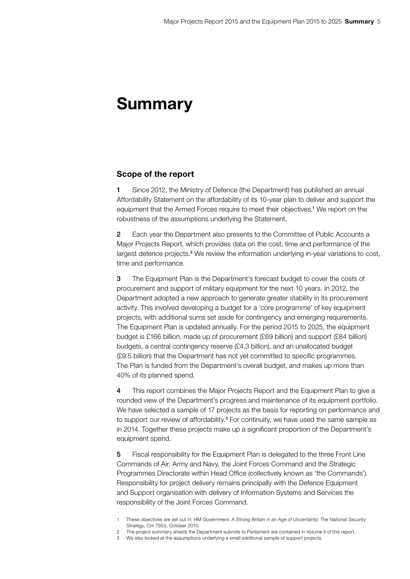### Summary

#### Scope of the report

1 Since 2012, the Ministry of Defence (the Department) has published an annual Affordability Statement on the affordability of its 10-year plan to deliver and support the equipment that the Armed Forces require to meet their objectives.<sup>1</sup> We report on the robustness of the assumptions underlying the Statement.

2 Each year the Department also presents to the Committee of Public Accounts a Major Projects Report, which provides data on the cost, time and performance of the largest defence projects.<sup>2</sup> We review the information underlying in-year variations to cost, time and performance.

3 The Equipment Plan is the Department's forecast budget to cover the costs of procurement and support of military equipment for the next 10 years. In 2012, the Department adopted a new approach to generate greater stability in its procurement activity. This involved developing a budget for a 'core programme' of key equipment projects, with additional sums set aside for contingency and emerging requirements. The Equipment Plan is updated annually. For the period 2015 to 2025, the equipment budget is £166 billion, made up of procurement (£69 billion) and support (£84 billion) budgets, a central contingency reserve (£4.3 billion), and an unallocated budget (£9.5 billion) that the Department has not yet committed to specific programmes. The Plan is funded from the Department's overall budget, and makes up more than 40% of its planned spend.

4 This report combines the Major Projects Report and the Equipment Plan to give a rounded view of the Department's progress and maintenance of its equipment portfolio. We have selected a sample of 17 projects as the basis for reporting on performance and to support our review of affordability.<sup>3</sup> For continuity, we have used the same sample as in 2014. Together these projects make up a significant proportion of the Department's equipment spend.

5 Fiscal responsibility for the Equipment Plan is delegated to the three Front Line Commands of Air, Army and Navy, the Joint Forces Command and the Strategic Programmes Directorate within Head Office (collectively known as 'the Commands'). Responsibility for project delivery remains principally with the Defence Equipment and Support organisation with delivery of Information Systems and Services the responsibility of the Joint Forces Command.

<sup>1</sup> These objectives are set out in: HM Government, *A Strong Britain in an Age of Uncertainty: The National Security Strategy*, Cm 7953, October 2010.

<sup>2</sup> The project summary sheets the Department submits to Parliament are contained in Volume II of this report.

<sup>3</sup> We also looked at the assumptions underlying a small additional sample of support projects.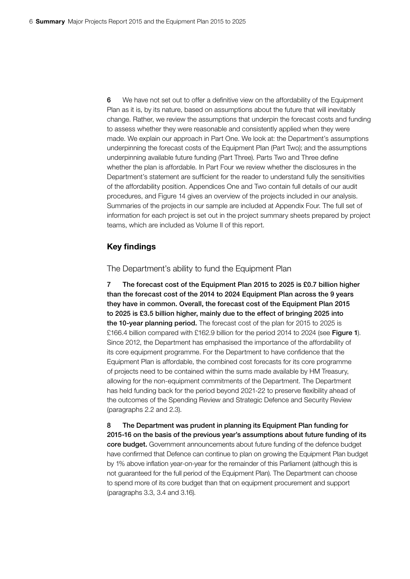6 We have not set out to offer a definitive view on the affordability of the Equipment Plan as it is, by its nature, based on assumptions about the future that will inevitably change. Rather, we review the assumptions that underpin the forecast costs and funding to assess whether they were reasonable and consistently applied when they were made. We explain our approach in Part One. We look at: the Department's assumptions underpinning the forecast costs of the Equipment Plan (Part Two); and the assumptions underpinning available future funding (Part Three). Parts Two and Three define whether the plan is affordable. In Part Four we review whether the disclosures in the Department's statement are sufficient for the reader to understand fully the sensitivities of the affordability position. Appendices One and Two contain full details of our audit procedures, and Figure 14 gives an overview of the projects included in our analysis. Summaries of the projects in our sample are included at Appendix Four. The full set of information for each project is set out in the project summary sheets prepared by project teams, which are included as Volume II of this report.

#### Key findings

#### The Department's ability to fund the Equipment Plan

7 The forecast cost of the Equipment Plan 2015 to 2025 is £0.7 billion higher than the forecast cost of the 2014 to 2024 Equipment Plan across the 9 years they have in common. Overall, the forecast cost of the Equipment Plan 2015 to 2025 is £3.5 billion higher, mainly due to the effect of bringing 2025 into the 10-year planning period. The forecast cost of the plan for 2015 to 2025 is £166.4 billion compared with £162.9 billion for the period 2014 to 2024 (see Figure 1). Since 2012, the Department has emphasised the importance of the affordability of its core equipment programme. For the Department to have confidence that the Equipment Plan is affordable, the combined cost forecasts for its core programme of projects need to be contained within the sums made available by HM Treasury, allowing for the non-equipment commitments of the Department. The Department has held funding back for the period beyond 2021-22 to preserve flexibility ahead of the outcomes of the Spending Review and Strategic Defence and Security Review (paragraphs 2.2 and 2.3).

8 The Department was prudent in planning its Equipment Plan funding for 2015‑16 on the basis of the previous year's assumptions about future funding of its core budget. Government announcements about future funding of the defence budget have confirmed that Defence can continue to plan on growing the Equipment Plan budget by 1% above inflation year-on-year for the remainder of this Parliament (although this is not guaranteed for the full period of the Equipment Plan). The Department can choose to spend more of its core budget than that on equipment procurement and support (paragraphs 3.3, 3.4 and 3.16).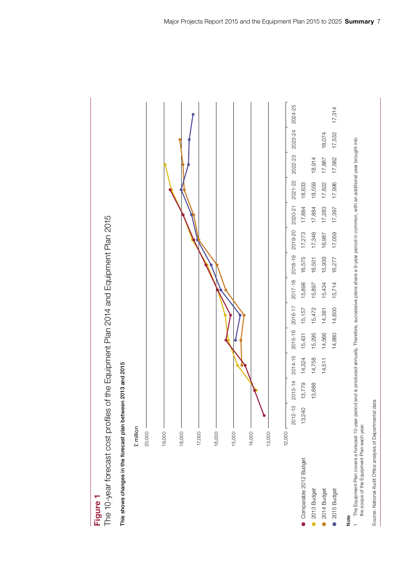



Figure 1

This shows changes in the forecast plan between 2013 and 2015

Note

1 The Equipment Plan covers a forecast 10-year period and is produced annually. Therefore, successive plans share a 9-year period in common, with an additional year brought into the scope of the Equipment Plan each year. the scope of the Equipment Plan each year.

Source: National Audit Office analysis of Departmental data Source: National Audit Office analysis of Departmental data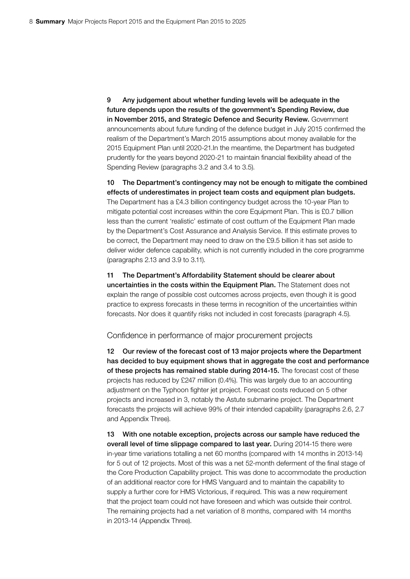9 Any judgement about whether funding levels will be adequate in the future depends upon the results of the government's Spending Review, due in November 2015, and Strategic Defence and Security Review. Government announcements about future funding of the defence budget in July 2015 confirmed the realism of the Department's March 2015 assumptions about money available for the 2015 Equipment Plan until 2020-21.In the meantime, the Department has budgeted prudently for the years beyond 2020-21 to maintain financial flexibility ahead of the Spending Review (paragraphs 3.2 and 3.4 to 3.5).

10 The Department's contingency may not be enough to mitigate the combined effects of underestimates in project team costs and equipment plan budgets. The Department has a £4.3 billion contingency budget across the 10-year Plan to mitigate potential cost increases within the core Equipment Plan. This is £0.7 billion less than the current 'realistic' estimate of cost outturn of the Equipment Plan made by the Department's Cost Assurance and Analysis Service. If this estimate proves to be correct, the Department may need to draw on the £9.5 billion it has set aside to deliver wider defence capability, which is not currently included in the core programme (paragraphs 2.13 and 3.9 to 3.11).

11 The Department's Affordability Statement should be clearer about uncertainties in the costs within the Equipment Plan. The Statement does not explain the range of possible cost outcomes across projects, even though it is good practice to express forecasts in these terms in recognition of the uncertainties within forecasts. Nor does it quantify risks not included in cost forecasts (paragraph 4.5).

Confidence in performance of major procurement projects

12 Our review of the forecast cost of 13 major projects where the Department has decided to buy equipment shows that in aggregate the cost and performance of these projects has remained stable during 2014-15. The forecast cost of these projects has reduced by £247 million (0.4%). This was largely due to an accounting adjustment on the Typhoon fighter jet project. Forecast costs reduced on 5 other projects and increased in 3, notably the Astute submarine project. The Department forecasts the projects will achieve 99% of their intended capability (paragraphs 2.6, 2.7 and Appendix Three).

13 With one notable exception, projects across our sample have reduced the overall level of time slippage compared to last year. During 2014-15 there were in-year time variations totalling a net 60 months (compared with 14 months in 2013-14) for 5 out of 12 projects. Most of this was a net 52-month deferment of the final stage of the Core Production Capability project. This was done to accommodate the production of an additional reactor core for HMS Vanguard and to maintain the capability to supply a further core for HMS Victorious, if required. This was a new requirement that the project team could not have foreseen and which was outside their control. The remaining projects had a net variation of 8 months, compared with 14 months in 2013-14 (Appendix Three).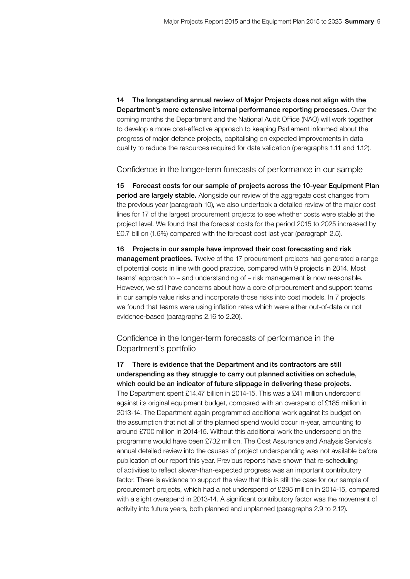14 The longstanding annual review of Major Projects does not align with the Department's more extensive internal performance reporting processes. Over the coming months the Department and the National Audit Office (NAO) will work together to develop a more cost-effective approach to keeping Parliament informed about the progress of major defence projects, capitalising on expected improvements in data quality to reduce the resources required for data validation (paragraphs 1.11 and 1.12).

Confidence in the longer-term forecasts of performance in our sample

15 Forecast costs for our sample of projects across the 10-year Equipment Plan period are largely stable. Alongside our review of the aggregate cost changes from the previous year (paragraph 10), we also undertook a detailed review of the major cost lines for 17 of the largest procurement projects to see whether costs were stable at the project level. We found that the forecast costs for the period 2015 to 2025 increased by £0.7 billion (1.6%) compared with the forecast cost last year (paragraph 2.5).

16 Projects in our sample have improved their cost forecasting and risk management practices. Twelve of the 17 procurement projects had generated a range of potential costs in line with good practice, compared with 9 projects in 2014. Most teams' approach to – and understanding of – risk management is now reasonable. However, we still have concerns about how a core of procurement and support teams in our sample value risks and incorporate those risks into cost models. In 7 projects we found that teams were using inflation rates which were either out-of-date or not evidence-based (paragraphs 2.16 to 2.20).

Confidence in the longer-term forecasts of performance in the Department's portfolio

17 There is evidence that the Department and its contractors are still underspending as they struggle to carry out planned activities on schedule, which could be an indicator of future slippage in delivering these projects. The Department spent £14.47 billion in 2014-15. This was a £41 million underspend against its original equipment budget, compared with an overspend of £185 million in 2013-14. The Department again programmed additional work against its budget on the assumption that not all of the planned spend would occur in-year, amounting to around £700 million in 2014-15. Without this additional work the underspend on the programme would have been £732 million. The Cost Assurance and Analysis Service's annual detailed review into the causes of project underspending was not available before publication of our report this year. Previous reports have shown that re-scheduling of activities to reflect slower-than-expected progress was an important contributory factor. There is evidence to support the view that this is still the case for our sample of procurement projects, which had a net underspend of £295 million in 2014-15, compared with a slight overspend in 2013-14. A significant contributory factor was the movement of activity into future years, both planned and unplanned (paragraphs 2.9 to 2.12).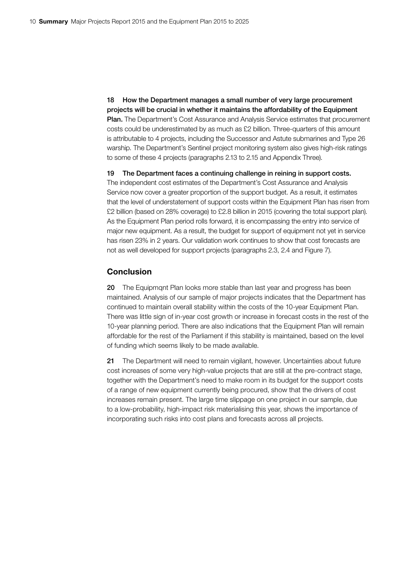18 How the Department manages a small number of very large procurement projects will be crucial in whether it maintains the affordability of the Equipment Plan. The Department's Cost Assurance and Analysis Service estimates that procurement costs could be underestimated by as much as £2 billion. Three-quarters of this amount is attributable to 4 projects, including the Successor and Astute submarines and Type 26 warship. The Department's Sentinel project monitoring system also gives high-risk ratings to some of these 4 projects (paragraphs 2.13 to 2.15 and Appendix Three).

19 The Department faces a continuing challenge in reining in support costs. The independent cost estimates of the Department's Cost Assurance and Analysis Service now cover a greater proportion of the support budget. As a result, it estimates that the level of understatement of support costs within the Equipment Plan has risen from £2 billion (based on 28% coverage) to £2.8 billion in 2015 (covering the total support plan). As the Equipment Plan period rolls forward, it is encompassing the entry into service of major new equipment. As a result, the budget for support of equipment not yet in service has risen 23% in 2 years. Our validation work continues to show that cost forecasts are not as well developed for support projects (paragraphs 2.3, 2.4 and Figure 7).

#### **Conclusion**

20 The Equipmqnt Plan looks more stable than last year and progress has been maintained. Analysis of our sample of major projects indicates that the Department has continued to maintain overall stability within the costs of the 10-year Equipment Plan. There was little sign of in-year cost growth or increase in forecast costs in the rest of the 10-year planning period. There are also indications that the Equipment Plan will remain affordable for the rest of the Parliament if this stability is maintained, based on the level of funding which seems likely to be made available.

21 The Department will need to remain vigilant, however. Uncertainties about future cost increases of some very high-value projects that are still at the pre-contract stage, together with the Department's need to make room in its budget for the support costs of a range of new equipment currently being procured, show that the drivers of cost increases remain present. The large time slippage on one project in our sample, due to a low-probability, high-impact risk materialising this year, shows the importance of incorporating such risks into cost plans and forecasts across all projects.